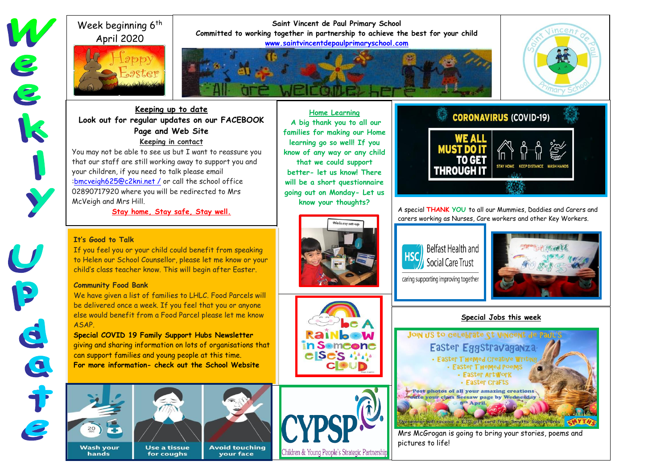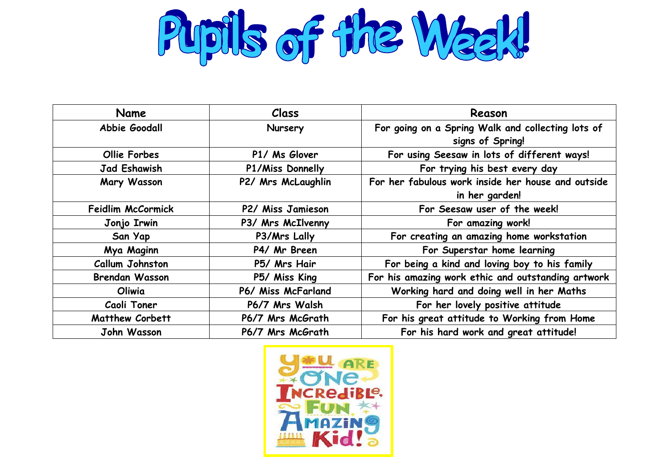Pupils of the Waak!

| Name                     | Class              | Reason                                             |
|--------------------------|--------------------|----------------------------------------------------|
| Abbie Goodall            | Nursery            | For going on a Spring Walk and collecting lots of  |
|                          |                    | signs of Spring!                                   |
| <b>Ollie Forbes</b>      | P1/ Ms Glover      | For using Seesaw in lots of different ways!        |
| <b>Jad Eshawish</b>      | P1/Miss Donnelly   | For trying his best every day                      |
| Mary Wasson              | P2/ Mrs McLaughlin | For her fabulous work inside her house and outside |
|                          |                    | in her garden!                                     |
| <b>Feidlim McCormick</b> | P2/ Miss Jamieson  | For Seesaw user of the week!                       |
| Jonjo Irwin              | P3/ Mrs McIlvenny  | For amazing work!                                  |
| San Yap                  | P3/Mrs Lally       | For creating an amazing home workstation           |
| Mya Maginn               | P4/ Mr Breen       | For Superstar home learning                        |
| <b>Callum Johnston</b>   | P5/ Mrs Hair       | For being a kind and loving boy to his family      |
| <b>Brendan Wasson</b>    | P5/ Miss King      | For his amazing work ethic and outstanding artwork |
| Oliwia                   | P6/ Miss McFarland | Working hard and doing well in her Maths           |
| Caoli Toner              | P6/7 Mrs Walsh     | For her lovely positive attitude                   |
| <b>Matthew Corbett</b>   | P6/7 Mrs McGrath   | For his great attitude to Working from Home        |
| John Wasson              | P6/7 Mrs McGrath   | For his hard work and great attitude!              |

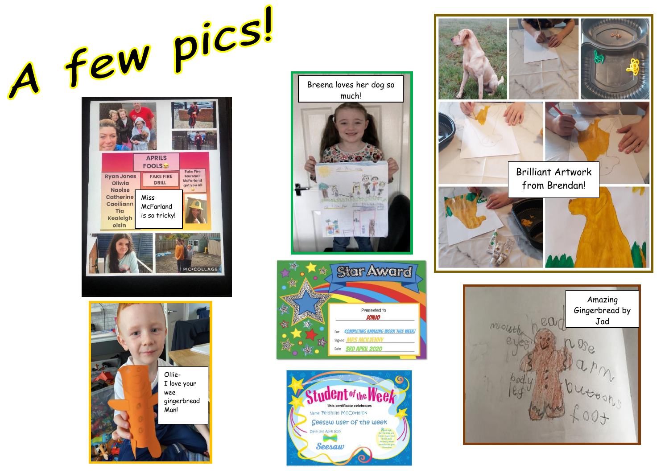A few pics!